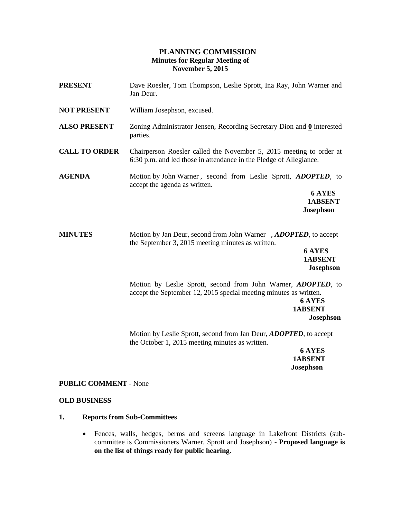# **PLANNING COMMISSION Minutes for Regular Meeting of November 5, 2015**

| <b>PRESENT</b>       | Dave Roesler, Tom Thompson, Leslie Sprott, Ina Ray, John Warner and<br>Jan Deur.                                                                                                          |
|----------------------|-------------------------------------------------------------------------------------------------------------------------------------------------------------------------------------------|
| <b>NOT PRESENT</b>   | William Josephson, excused.                                                                                                                                                               |
| <b>ALSO PRESENT</b>  | Zoning Administrator Jensen, Recording Secretary Dion and $\underline{0}$ interested<br>parties.                                                                                          |
| <b>CALL TO ORDER</b> | Chairperson Roesler called the November 5, 2015 meeting to order at<br>6:30 p.m. and led those in attendance in the Pledge of Allegiance.                                                 |
| <b>AGENDA</b>        | Motion by John Warner, second from Leslie Sprott, <i>ADOPTED</i> , to<br>accept the agenda as written.<br>6 AYES<br><b>1ABSENT</b><br><b>Josephson</b>                                    |
| <b>MINUTES</b>       | Motion by Jan Deur, second from John Warner, ADOPTED, to accept<br>the September 3, 2015 meeting minutes as written.<br><b>6 AYES</b><br>1ABSENT<br><b>Josephson</b>                      |
|                      | Motion by Leslie Sprott, second from John Warner, ADOPTED, to<br>accept the September 12, 2015 special meeting minutes as written.<br><b>6 AYES</b><br><b>1ABSENT</b><br><b>Josephson</b> |
|                      | Motion by Leslie Sprott, second from Jan Deur, <i>ADOPTED</i> , to accept<br>the October 1, 2015 meeting minutes as written.<br><b>6 AYES</b>                                             |
|                      |                                                                                                                                                                                           |

 **1ABSENT Josephson**

# **PUBLIC COMMENT -** None

## **OLD BUSINESS**

## **1. Reports from Sub-Committees**

 Fences, walls, hedges, berms and screens language in Lakefront Districts (subcommittee is Commissioners Warner, Sprott and Josephson) - **Proposed language is on the list of things ready for public hearing.**